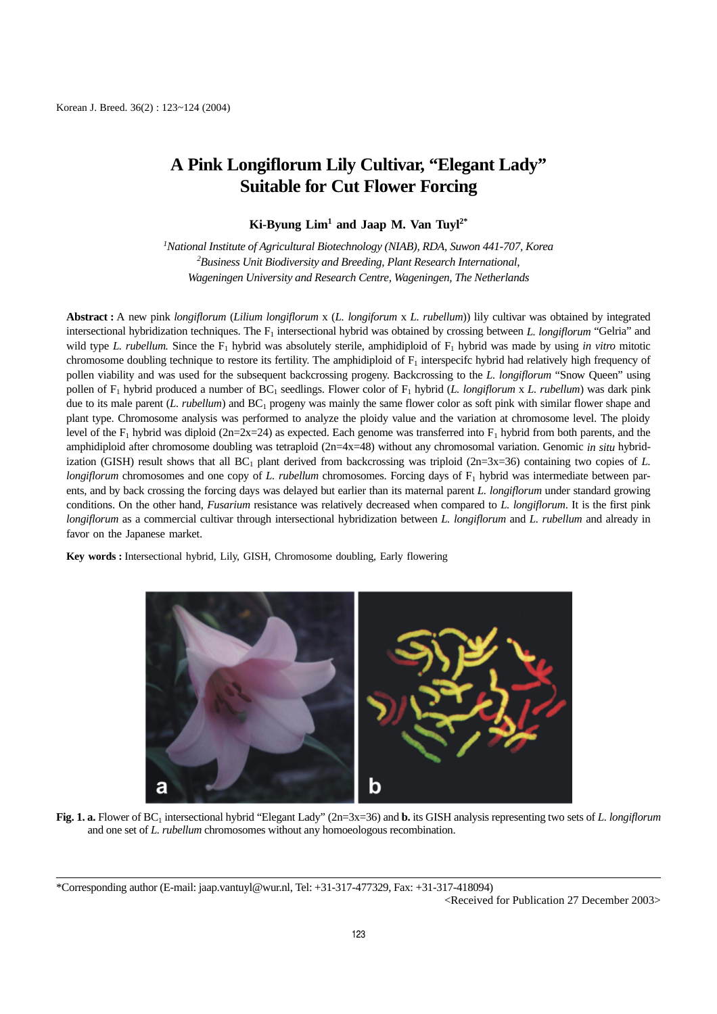## **A Pink Longiflorum Lily Cultivar, "Elegant Lady" Suitable for Cut Flower Forcing**

**Ki-Byung Lim1 and Jaap M. Van Tuyl2\***

*1 National Institute of Agricultural Biotechnology (NIAB), RDA, Suwon 441-707, Korea 2 Business Unit Biodiversity and Breeding, Plant Research International, Wageningen University and Research Centre, Wageningen, The Netherlands*

**Abstract :** A new pink *longiflorum* (*Lilium longiflorum* x (*L. longiforum* x *L. rubellum*)) lily cultivar was obtained by integrated intersectional hybridization techniques. The F<sub>1</sub> intersectional hybrid was obtained by crossing between *L. longiflorum* "Gelria" and wild type *L. rubellum*. Since the  $F_1$  hybrid was absolutely sterile, amphidiploid of  $F_1$  hybrid was made by using *in vitro* mitotic chromosome doubling technique to restore its fertility. The amphidiploid of  $F_1$  interspecifc hybrid had relatively high frequency of pollen viability and was used for the subsequent backcrossing progeny. Backcrossing to the *L. longiflorum* "Snow Queen" using pollen of F1 hybrid produced a number of BC1 seedlings. Flower color of F1 hybrid (*L. longiflorum* x *L. rubellum*) was dark pink due to its male parent (*L. rubellum*) and BC<sub>1</sub> progeny was mainly the same flower color as soft pink with similar flower shape and plant type. Chromosome analysis was performed to analyze the ploidy value and the variation at chromosome level. The ploidy level of the F<sub>1</sub> hybrid was diploid (2n=2x=24) as expected. Each genome was transferred into F<sub>1</sub> hybrid from both parents, and the amphidiploid after chromosome doubling was tetraploid (2n=4x=48) without any chromosomal variation. Genomic *in situ* hybridization (GISH) result shows that all  $BC_1$  plant derived from backcrossing was triploid ( $2n=3x=36$ ) containing two copies of *L*. *longiflorum* chromosomes and one copy of *L. rubellum* chromosomes. Forcing days of F<sub>1</sub> hybrid was intermediate between parents, and by back crossing the forcing days was delayed but earlier than its maternal parent *L. longiflorum* under standard growing conditions. On the other hand, *Fusarium* resistance was relatively decreased when compared to *L. longiflorum*. It is the first pink *longiflorum* as a commercial cultivar through intersectional hybridization between *L. longiflorum* and *L. rubellum* and already in favor on the Japanese market.

**Key words :** Intersectional hybrid, Lily, GISH, Chromosome doubling, Early flowering



**Fig. 1. a.** Flower of BC1 intersectional hybrid "Elegant Lady" (2n=3x=36) and **b.** its GISH analysis representing two sets of *L. longiflorum* and one set of *L. rubellum* chromosomes without any homoeologous recombination.

\*Corresponding author (E-mail: jaap.vantuyl@wur.nl, Tel: +31-317-477329, Fax: +31-317-418094) <Received for Publication 27 December 2003>